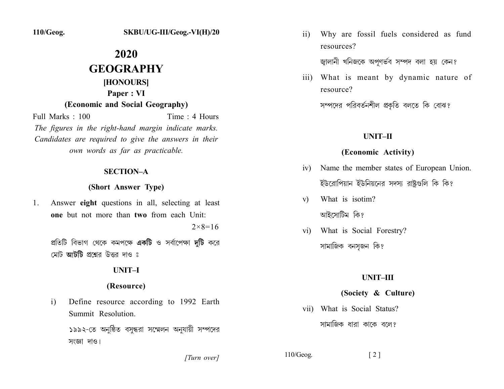110/Geog.

# 2020 **GEOGRAPHY** [HONOURS] Paper: VI (Economic and Social Geography)

Full Marks: 100 Time: 4 Hours The figures in the right-hand margin indicate marks. Candidates are required to give the answers in their own words as far as practicable.

### **SECTION-A**

# (Short Answer Type)

Answer eight questions in all, selecting at least  $\mathbf{1}$ . one but not more than two from each Unit:

 $2 \times 8 = 16$ 

প্রতিটি বিভাগ থেকে কমপক্ষে **একটি** ও সর্বাপেক্ষা **দুটি** করে মোট **আটটি** প্রশ্নের উত্তর দাও ঃ

# **UNIT-I**

### (Resource)

- Define resource according to 1992 Earth  $i)$ Summit Resolution. ১৯৯২-তে অনুষ্ঠিত বসন্ধরা সম্মেলন অনুযায়ী সম্পদের
	- সংজ্ঞা দাও।

[Turn over]

Why are fossil fuels considered as fund  $\overline{11}$ resources?

জ্বালানী খনিজকে অপুণর্ভব সম্পদ বলা হয় কেন?

iii) What is meant by dynamic nature of resource?

সম্পদের পরিবর্তনশীল প্রকৃতি বলতে কি বোঝ?

# **UNIT-II**

# (Economic Activity)

- iv) Name the member states of European Union. ইউরোপিয়ান ইউনিয়নের সদস্য রাষ্টগুলি কি কি?
- What is isotim?  $V)$ আইসোটিম কি?
- What is Social Forestry?  $\overline{\mathbf{v}}$ সামাজিক বনসজন কি?

# UNIT-III

# (Society & Culture)

vii) What is Social Status? সামাজিক ধারা কাকে বলে?

 $110/Geog.$ 

 $\lceil 2 \rceil$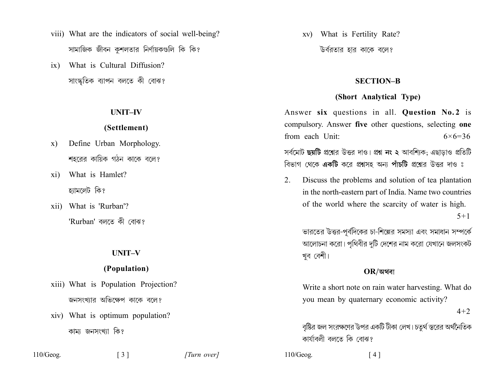- viii) What are the indicators of social well-being? সামাজিক জীবন কুশলতার নির্ণায়কগুলি কি কি?
- What is Cultural Diffusion?  $ix)$ সাংস্কৃতিক ব্যাপন বলতে কী বোঝ?

# **UNIT-IV**

## (Settlement)

- Define Urban Morphology. X) শহরের কায়িক গঠন কাকে বলে?
- What is Hamlet?  $xi)$ হ্যামলেট কি?
- xii) What is 'Rurban'? 'Rurban' বলতে কী বোঝ?

#### **UNIT-V**

# (Population)

- xiii) What is Population Projection? জনসংখ্যার অভিক্ষেপ কাকে বলে?
- xiv) What is optimum population? কাম্য জনসংখ্যা কি?

 $110/Geog.$ 

 $\lceil 3 \rceil$ 

[Turn over]

xv) What is Fertility Rate? উর্বরতার হার কাকে বলে?

### **SECTION-B**

### (Short Analytical Type)

Answer six questions in all. Question No.2 is compulsory. Answer five other questions, selecting one from each Unit:  $6 \times 6 = 36$ 

সর্বমোট ছয়টি প্রশ্নের উত্তর দাও। প্রশ্ন নং ২ আবশ্যিক; এছাডাও প্রতিটি বিভাগ থেকে **একটি** করে প্রশ্নসহ অন্য **পাঁচটি** প্রশ্নের উত্তর দাও ঃ

 $2.$ Discuss the problems and solution of tea plantation in the north-eastern part of India. Name two countries of the world where the scarcity of water is high.

 $5 + 1$ 

ভারতের উত্তর-পূর্বদিকের চা-শিল্পের সমস্যা এবং সমাধান সম্পর্কে আলোচনা করো। পৃথিবীর দুটি দেশের নাম করো যেখানে জলসংকট খুব বেশী।

### $OR$ /অথবা

Write a short note on rain water harvesting. What do you mean by quaternary economic activity?

 $4 + 2$ 

বৃষ্টির জল সংরক্ষণের উপর একটি টীকা লেখ। চতুর্থ স্তরের অর্থনৈতিক কাৰ্যাবলী বলতে কি বোঝ?

 $110/Geog.$  $[4]$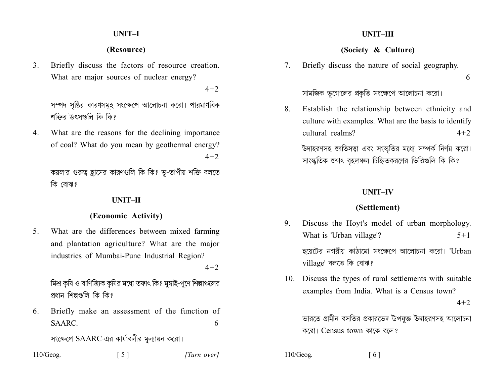### **UNIT-I**

# (Resource)

Briefly discuss the factors of resource creation.  $3<sub>1</sub>$ What are major sources of nuclear energy?

 $4 + 2$ 

সম্পদ সৃষ্টির কারণসমূহ সংক্ষেপে আলোচনা করো। পারমাণবিক শক্তির উৎসণ্ডলি কি কি?

What are the reasons for the declining importance 4. of coal? What do you mean by geothermal energy?  $4 + 2$ 

কয়লার গুরুত্ব হ্রাসের কারণগুলি কি কি? ভূ-তাপীয় শক্তি বলতে কি বোঝ?

### UNIT-II

### (Economic Activity)

What are the differences between mixed farming  $5<sup>7</sup>$ and plantation agriculture? What are the major industries of Mumbai-Pune Industrial Region?

 $4 + 2$ 

মিশ্র কৃষি ও বাণিজ্যিক কৃষির মধ্যে তফাৎ কি? মুম্বাই-পুণে শিল্পাঞ্চলের প্রধান শিল্পগুলি কি কি?

Briefly make an assessment of the function of 6. SAARC. 6

সংক্ষেপে SAARC-এর কার্যাবলীর মূল্যায়ন করো।

| 110/Geog. | $\lceil 5 \rceil$ | [Turn over] |
|-----------|-------------------|-------------|
|-----------|-------------------|-------------|

# UNIT-III

# (Society & Culture)

Briefly discuss the nature of social geography.  $7_{\scriptscriptstyle{\ddot{\sim}}}$ 

6

সামজিক ভূগোলের প্রকৃতি সংক্ষেপে আলোচনা করো।

Establish the relationship between ethnicity and 8. culture with examples. What are the basis to identify cultural realms?  $4 + 2$ 

উদাহরণসহ জাতিসত্ত্বা এবং সংস্কৃতির মধ্যে সম্পর্ক নির্ণয় করো। সাংস্কৃতিক জগৎ বৃহদাঞ্চল চিহ্নিতকরণের ভিত্তিগুলি কি কি?

### **INIT-IV**

### (Settlement)

- Discuss the Hoyt's model of urban morphology. 9 What is 'Urban village'?  $5 + 1$ হয়েটের নগরীয় কাঠামো সংক্ষেপে আলোচনা করো। 'Urban village' বলতে কি বোঝ?
- 10. Discuss the types of rural settlements with suitable examples from India. What is a Census town?

 $4 + 2$ 

ভারতে গ্রামীন বসতির প্রকারভেদ উপযুক্ত উদাহরণসহ আলোচনা করো। Census town কাকে বলে?

 $110/Geog.$  $[6]$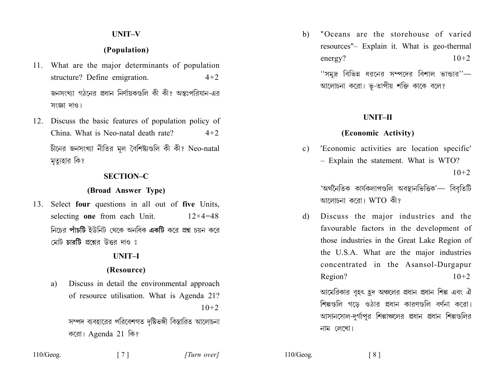# **UNIT-V**

# (Population)

- 11. What are the major determinants of population structure? Define emigration.  $4 + 2$ জনসংখ্যা গঠনের প্রধান নির্ণায়কগুলি কী কী? অন্তঃপরিযান-এর সংজ্ঞা দাও।
- 12. Discuss the basic features of population policy of China. What is Neo-natal death rate?  $4 + 2$

চীনের জনসংখ্যা নীতির মল বৈশিষ্ট্যগুলি কী কী? Neo-natal মৃত্যুহার কি?

### **SECTION-C**

#### (Broad Answer Type)

13. Select four questions in all out of five Units, selecting one from each Unit.  $12\times 4=48$ নিচের পাঁচটি ইউনিট থেকে অনধিক একটি করে প্রশ্ন চয়ন করে মেট **চাবটি** প্রশ্নের উত্তর দাও ঃ

#### UNIT<sub>-I</sub>

#### (Resource)

Discuss in detail the environmental approach a) of resource utilisation. What is Agenda 21?  $10+2$ 

> সম্পদ ব্যবহারের পরিবেশগত দৃষ্টিভঙ্গী বিস্তারিত আলোচনা করো। Agenda 21 কি?

"Oceans are the storehouse of varied b) resources"- Explain it. What is geo-thermal  $10+2$ energy? ''সমুদ্র বিভিন্ন ধরনের সম্পদের বিশাল ভান্ডার''— আলোচনা করো। ভূ-তাপীয় শক্তি কাকে বলে?

# UNIT-II

#### (Economic Activity)

'Economic activities are location specific'  $c)$ - Explain the statement. What is WTO?  $10+2$ 

> 'অৰ্থনৈতিক কাৰ্যকলাপগুলি অবস্থানভিত্তিক'— বিবৃতিটি আলোচনা করো। WTO কী?

Discuss the major industries and the d) favourable factors in the development of those industries in the Great Lake Region of the U.S.A. What are the major industries concentrated in the Asansol-Durgapur Region?  $10+2$ 

আমেরিকার বৃহৎ হুদ অঞ্চলের প্রধান প্রধান শিল্প এবং ঐ শিল্পগুলি গডে ওঠার প্রধান কারণগুলি বর্ণনা করো। আসানসোল-দুর্গাপুর শিল্পাঞ্চলের প্রধান প্রধান শিল্পগুলির নাম লেখো।

 $110/Geog.$ 

 $110/Geog.$